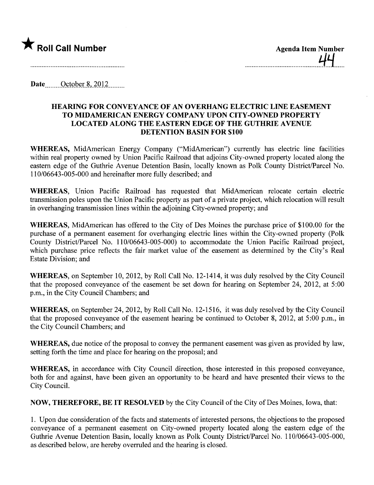

Date  $\qquad$  October 8, 2012

## HEARING FOR CONVEYANCE OF AN OVERHANG ELECTRIC LINE EASEMENT TO MIDAMERICAN ENERGY COMPANY UPON CITY-OWNED PROPERTY LOCATED ALONG THE EASTERN EDGE OF THE GUTHRIE AVENUE DETENTION BASIN FOR \$100

WHEREAS, MidAmerican Energy Company ("MidAmerican") currently has electric line facilities within real property owned by Union Pacific Railroad that adjoins City-owned property located along the eastern edge of the Guthrie Avenue Detention Basin, locally known as Polk County District/Parcel No. 110/06643-005-000 and hereinafter more fully described; and

WHEREAS, Union Pacific Railroad. has requested that MidAmerican relocate certain electric transmission poles upon the Union Pacific property as part of a private project, which relocation will result in overhanging transmission lines within the adjoining City-owned property; and

WHEREAS, MidAmerican has offered to the City of Des Moines the purchase price of \$100.00 for the purchase of a permanent easement for overhanging electric lines within the City-owned property (Polk County District/Parcel No. 110/06643-005-000) to accommodate the Union Pacific Railroad project, which purchase price reflects the fair market value of the easement as determined by the City's Real Estate Division; and

WHEREAS, on September 10,2012, by Roll Call No. 12-1414, it was duly resolved by the City Council that the proposed conveyance of the easement be set down for hearing on September 24, 2012, at 5:00 p.m., in the City Council Chambers; and

WHEREAS, on September 24, 2012, by Roll Call No. 12-1516, it was duly resolved by the City Council that the proposed conveyance of the easement hearing be continued to October 8, 2012, at 5:00 p.m., in the City Council Chambers; and

WHEREAS, due notice of the proposal to convey the permanent easement was given as provided by law, setting forth the time and place for hearing on the proposal; and

WHEREAS, in accordance with City Council direction, those interested in this proposed conveyance, both for and against, have been given an opportunity to be heard and have presented their views to the City CounciL.

NOW, THEREFORE, BE IT RESOLVED by the City Council of the City of Des Moines, Iowa, that:

1. Upon due consideration of the facts and statements of interested persons, the objections to the proposed conveyance of a permanent easement on City-owned property located along the eastern edge of the Guthrie Avenue Detention Basin, locally known as Polk County District/Parcel No. 110/06643-005-000, as described below, are hereby overruled and the hearing is closed.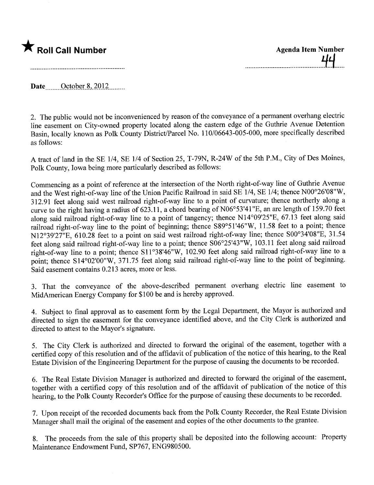

Date \_\_\_\_\_\_ October 8, 2012

2. The public would not be inconvenienced by reason of the conveyance of a permanent overhang electric line easement on City-owned property located along the eastern edge of the Guthrie Avenue Detention Basin, locally known as Polk County District/Parcel No. 110/06643-005-000, more specifically described as follows:

A tract of land in the SE 1/4, SE 1/4 of Section 25, T-79N, R-24W of the 5th P.M., City of Des Moines, Polk County, Iowa being more particularly described as follows:

Commencing as a point of reference at the intersection of the North right-of-way line of Guthrie Avenue and the West right-of-way line of the Union Pacific Railroad in said SE 1/4, SE 1/4; thence N00°26'08"W, 312.91 feet along said west railroad right-of-way line to a point of curvature; thence northerly along a curve to the right having a radius of 623.11, a chord bearing of N06°53'41"E, an arc length of 159.70 feet along said railroad right-of-way line to a point of tangency; thence N14°09'25"E, 67.13 feet along said railroad right-of-way line to the point of beginning; thence S89°51'46"W, 11.58 feet to a point; thence N12°39'27"E, 610.28 feet to a point on said west railroad right-of-way line; thence S00°34'08"E, 31.54 feet along said railroad right-of-way line to a point; thence S06°25'43"W, 103.11 feet along said railroad right-of-way line to a point; thence S11°38'46"W, 102.90 feet along said railroad right-of-way line to a point; thence S14°02'00"W, 371.75 feet along said railroad right-of-way line to the point of beginning. Said easement contains 0.213 acres, more or less.

3. That the conveyance of the above-described permanent overhang electric line easement to MidAmerican Energy Company for \$100 be and is hereby approved.

4. Subject to final approval as to easement form by the Legal Department, the Mayor is authorized and directed to sign the easement for the conveyance identified above, and the City Clerk is authorized and directed to attest to the Mayor's signature.

5. The City Clerk is authorized and directed to forward the original of the easement, together with a certified copy of this resolution and of the affidavit of publication of the notice of this hearing, to the Real Estate Division of the Engineering Deparment for the purpose of causing the documents to be recorded.

6. The Real Estate Division Manager is authorized and directed to forward the original of the easement, together with a certified copy of this resolution and of the affidavit of publication of the notice of this hearing, to the Polk County Recorder's Office for the purpose of causing these documents to be recorded.

7. Upon receipt of the recorded documents back from the Polk County Recorder, the Real Estate Division Manager shall mail the original of the easement and copies of the other documents to the grantee.

8. The proceeds from the sale of this property shall be deposited into the following account: Property Maintenance Endowment Fund, SP767, ENG980500.